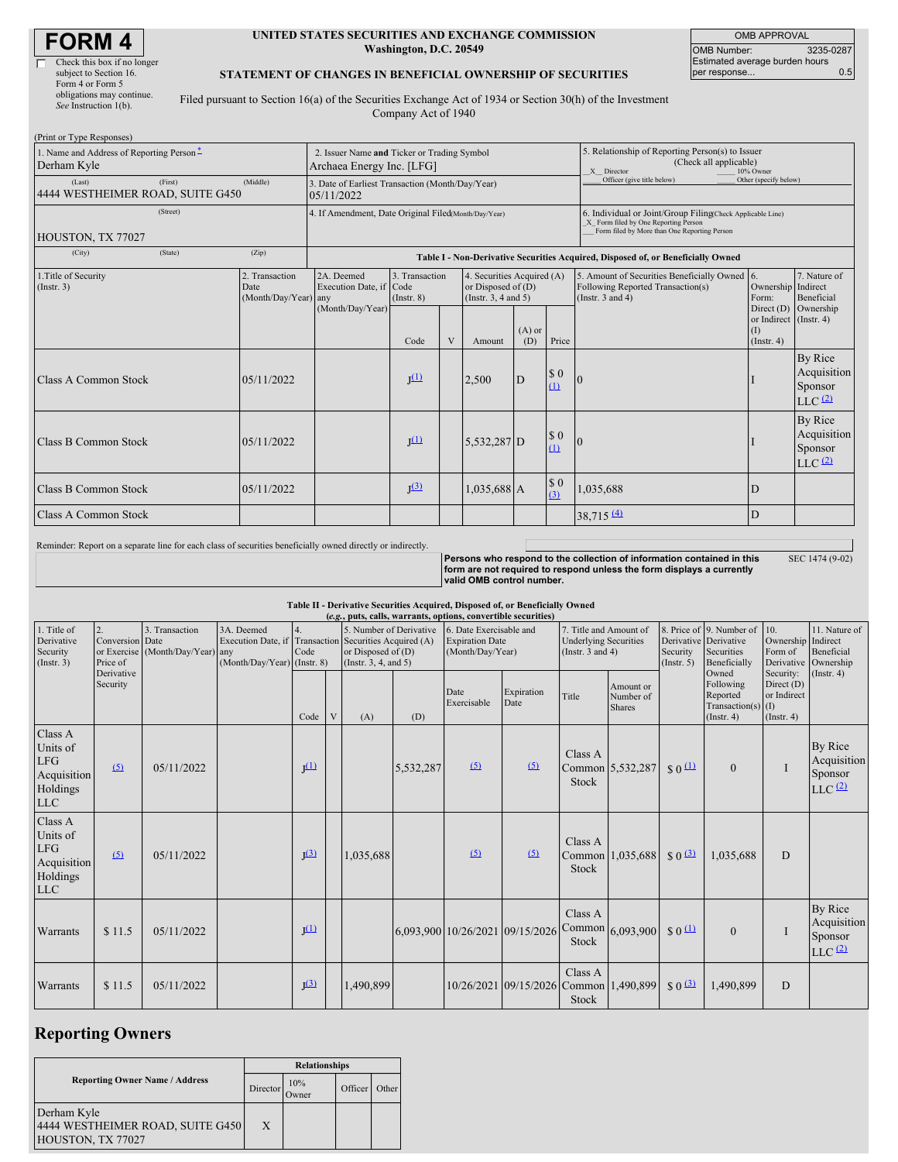| FORM 4 $ $ |
|------------|
|------------|

| Check this box if no longer |
|-----------------------------|
| subject to Section 16.      |
| Form 4 or Form 5            |
| obligations may continue.   |
| See Instruction 1(b).       |

#### **UNITED STATES SECURITIES AND EXCHANGE COMMISSION Washington, D.C. 20549**

OMB APPROVAL OMB Number: 3235-0287 Estimated average burden hours per response... 0.5

SEC 1474 (9-02)

#### **STATEMENT OF CHANGES IN BENEFICIAL OWNERSHIP OF SECURITIES**

Filed pursuant to Section 16(a) of the Securities Exchange Act of 1934 or Section 30(h) of the Investment Company Act of 1940

| (Print or Type Responses)                                                             |                                                                          |                                                                                  |                                   |   |                                                                                |                 |                                                                                                       |                                                                                                                                                    |                                              |                                                  |
|---------------------------------------------------------------------------------------|--------------------------------------------------------------------------|----------------------------------------------------------------------------------|-----------------------------------|---|--------------------------------------------------------------------------------|-----------------|-------------------------------------------------------------------------------------------------------|----------------------------------------------------------------------------------------------------------------------------------------------------|----------------------------------------------|--------------------------------------------------|
| 1. Name and Address of Reporting Person*<br>Derham Kyle                               | 2. Issuer Name and Ticker or Trading Symbol<br>Archaea Energy Inc. [LFG] |                                                                                  |                                   |   |                                                                                |                 | 5. Relationship of Reporting Person(s) to Issuer<br>(Check all applicable)<br>X Director<br>10% Owner |                                                                                                                                                    |                                              |                                                  |
| (First)<br>(Last)<br>4444 WESTHEIMER ROAD, SUITE G450                                 | (Middle)                                                                 | 3. Date of Earliest Transaction (Month/Day/Year)<br>05/11/2022                   |                                   |   |                                                                                |                 |                                                                                                       | Officer (give title below)                                                                                                                         | Other (specify below)                        |                                                  |
| (Street)<br>HOUSTON, TX 77027                                                         |                                                                          | 4. If Amendment, Date Original Filed(Month/Day/Year)                             |                                   |   |                                                                                |                 |                                                                                                       | 6. Individual or Joint/Group Filing(Check Applicable Line)<br>X Form filed by One Reporting Person<br>Form filed by More than One Reporting Person |                                              |                                                  |
| (City)<br>(State)                                                                     | (Zip)                                                                    | Table I - Non-Derivative Securities Acquired, Disposed of, or Beneficially Owned |                                   |   |                                                                                |                 |                                                                                                       |                                                                                                                                                    |                                              |                                                  |
| 2. Transaction<br>1. Title of Security<br>(Insert. 3)<br>Date<br>(Month/Day/Year) any |                                                                          | 2A. Deemed<br>Execution Date, if Code                                            | 3. Transaction<br>$($ Instr. $8)$ |   | 4. Securities Acquired (A)<br>or Disposed of $(D)$<br>(Instr. $3, 4$ and $5$ ) |                 |                                                                                                       | 5. Amount of Securities Beneficially Owned 6.<br>Following Reported Transaction(s)<br>(Instr. $3$ and $4$ )                                        | Ownership Indirect<br>Form:                  | 7. Nature of<br>Beneficial                       |
|                                                                                       |                                                                          | (Month/Day/Year)                                                                 | Code                              | V | Amount                                                                         | $(A)$ or<br>(D) | Price                                                                                                 |                                                                                                                                                    | or Indirect (Instr. 4)<br>(1)<br>(Insert. 4) | Direct (D) Ownership                             |
| Class A Common Stock                                                                  | 05/11/2022                                                               |                                                                                  | $\mathbf{I}^{(1)}$                |   | 2,500                                                                          | D               | \$0<br>(1)                                                                                            | 0                                                                                                                                                  |                                              | By Rice<br>Acquisition<br>Sponsor<br>$LLC$ $(2)$ |
| Class B Common Stock                                                                  | 05/11/2022                                                               |                                                                                  | $\mathbf{I}^{(1)}$                |   | 5,532,287 D                                                                    |                 | \$0<br>(1)                                                                                            | 0                                                                                                                                                  |                                              | By Rice<br>Acquisition<br>Sponsor<br>$LLC$ $(2)$ |
| Class B Common Stock                                                                  | 05/11/2022                                                               |                                                                                  | J <sup>(3)</sup>                  |   | 1,035,688 A                                                                    |                 | \$0<br>(3)                                                                                            | 1,035,688                                                                                                                                          | D                                            |                                                  |
| <b>Class A Common Stock</b>                                                           |                                                                          |                                                                                  |                                   |   |                                                                                |                 |                                                                                                       | $38,715 \frac{(4)}{2}$                                                                                                                             | D                                            |                                                  |

Reminder: Report on a separate line for each class of securities beneficially owned directly or indirectly.

Persons who respond to the collection of information contained in this<br>form are not required to respond unless the form displays a currently **valid OMB control number.**

# Table II - Derivative Securities Acquired, Disposed of, or Beneficially Owned<br>(e.g., puts, calls, warrants, options, convertible securities)

| (e.g., puts, calls, warrants, options, convertible securities)                            |                        |                                                                                                 |  |                  |   |                                                                                                                                  |           |                                                                       |                                        |                                                                                 |                                         |                                 |                                                                                 |                                                       |                                                                        |
|-------------------------------------------------------------------------------------------|------------------------|-------------------------------------------------------------------------------------------------|--|------------------|---|----------------------------------------------------------------------------------------------------------------------------------|-----------|-----------------------------------------------------------------------|----------------------------------------|---------------------------------------------------------------------------------|-----------------------------------------|---------------------------------|---------------------------------------------------------------------------------|-------------------------------------------------------|------------------------------------------------------------------------|
| 1. Title of<br>2.<br>Derivative<br>Conversion Date<br>Security<br>(Insert. 3)<br>Price of |                        | 3. Transaction<br>3A. Deemed<br>or Exercise (Month/Day/Year) any<br>(Month/Day/Year) (Instr. 8) |  | 4.<br>Code       |   | 5. Number of Derivative<br>Execution Date, if Transaction Securities Acquired (A)<br>or Disposed of (D)<br>(Insert. 3, 4, and 5) |           | 6. Date Exercisable and<br><b>Expiration Date</b><br>(Month/Day/Year) |                                        | 7. Title and Amount of<br><b>Underlying Securities</b><br>(Instr. $3$ and $4$ ) |                                         | Security<br>(Insert. 5)         | 8. Price of 9. Number of<br>Derivative Derivative<br>Securities<br>Beneficially | 10.<br>Ownership<br>Form of                           | 11. Nature of<br>Indirect<br>Beneficial<br>Derivative Ownership        |
|                                                                                           | Derivative<br>Security |                                                                                                 |  | Code             | V | (A)                                                                                                                              | (D)       | Date<br>Exercisable                                                   | Expiration<br>Date                     | Title                                                                           | Amount or<br>Number of<br><b>Shares</b> |                                 | Owned<br>Following<br>Reported<br>$Transaction(s)$ (I)<br>$($ Instr. 4 $)$      | Security:<br>Direct (D)<br>or Indirect<br>(Insert. 4) | $($ Instr. 4 $)$                                                       |
| Class A<br>Units of<br>LFG<br>Acquisition<br>Holdings<br>$_{\rm LLC}$                     | $\Omega$               | 05/11/2022                                                                                      |  | J <sup>(1)</sup> |   |                                                                                                                                  | 5,532,287 | (5)                                                                   | (5)                                    | Class A<br><b>Stock</b>                                                         | Common 5,532,287                        | $S_0$ <sup>(1)</sup>            | $\Omega$                                                                        | I                                                     | By Rice<br>Acquisition<br>Sponsor<br>$LLC$ <sup><math>(2)</math></sup> |
| Class A<br>Units of<br><b>LFG</b><br>Acquisition<br>Holdings<br><b>LLC</b>                | (5)                    | 05/11/2022                                                                                      |  | J <sup>(3)</sup> |   | 1,035,688                                                                                                                        |           | (5)                                                                   | (5)                                    | Class A<br><b>Stock</b>                                                         | Common 1,035,688                        | $$0\frac{(3)}{2}$               | 1,035,688                                                                       | D                                                     |                                                                        |
| Warrants                                                                                  | \$11.5                 | 05/11/2022                                                                                      |  | I <sub>(1)</sub> |   |                                                                                                                                  |           |                                                                       | 6,093,900 10/26/2021 09/15/2026        | Class A<br>Stock                                                                | Common $6,093,900$                      | $$0^{\textcircled{\textcirc}}$$ | $\mathbf{0}$                                                                    |                                                       | By Rice<br>Acquisition<br>Sponsor<br>$LLC$ <sup><math>(2)</math></sup> |
| Warrants                                                                                  | \$11.5                 | 05/11/2022                                                                                      |  | J <sup>(3)</sup> |   | 1,490,899                                                                                                                        |           |                                                                       | 10/26/2021 09/15/2026 Common 1,490,899 | Class A<br>Stock                                                                |                                         | $$0 \Omega$                     | 1,490,899                                                                       | D                                                     |                                                                        |

## **Reporting Owners**

|                                                                      | <b>Relationships</b> |              |         |       |  |  |  |  |
|----------------------------------------------------------------------|----------------------|--------------|---------|-------|--|--|--|--|
| <b>Reporting Owner Name / Address</b>                                | Director             | 10%<br>Owner | Officer | Other |  |  |  |  |
| Derham Kyle<br>4444 WESTHEIMER ROAD, SUITE G450<br>HOUSTON, TX 77027 | X                    |              |         |       |  |  |  |  |